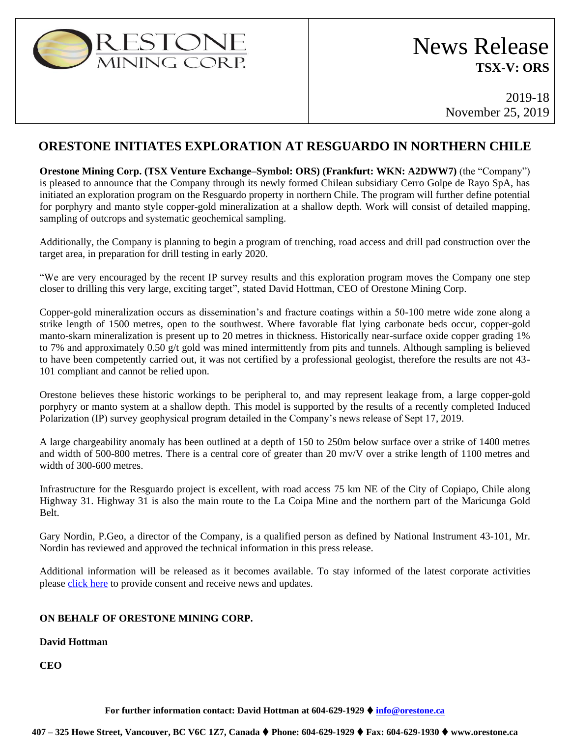

# News Release **TSX-V: ORS**

2019-18 November 25, 2019

### **ORESTONE INITIATES EXPLORATION AT RESGUARDO IN NORTHERN CHILE**

**Orestone Mining Corp. (TSX Venture Exchange–Symbol: ORS) (Frankfurt: WKN: A2DWW7)** (the "Company") is pleased to announce that the Company through its newly formed Chilean subsidiary Cerro Golpe de Rayo SpA, has initiated an exploration program on the Resguardo property in northern Chile. The program will further define potential for porphyry and manto style copper-gold mineralization at a shallow depth. Work will consist of detailed mapping, sampling of outcrops and systematic geochemical sampling.

Additionally, the Company is planning to begin a program of trenching, road access and drill pad construction over the target area, in preparation for drill testing in early 2020.

"We are very encouraged by the recent IP survey results and this exploration program moves the Company one step closer to drilling this very large, exciting target", stated David Hottman, CEO of Orestone Mining Corp.

Copper-gold mineralization occurs as dissemination's and fracture coatings within a 50-100 metre wide zone along a strike length of 1500 metres, open to the southwest. Where favorable flat lying carbonate beds occur, copper-gold manto-skarn mineralization is present up to 20 metres in thickness. Historically near-surface oxide copper grading 1% to 7% and approximately 0.50 g/t gold was mined intermittently from pits and tunnels. Although sampling is believed to have been competently carried out, it was not certified by a professional geologist, therefore the results are not 43- 101 compliant and cannot be relied upon.

Orestone believes these historic workings to be peripheral to, and may represent leakage from, a large copper-gold porphyry or manto system at a shallow depth. This model is supported by the results of a recently completed Induced Polarization (IP) survey geophysical program detailed in the Company's news release of Sept 17, 2019.

A large chargeability anomaly has been outlined at a depth of 150 to 250m below surface over a strike of 1400 metres and width of 500-800 metres. There is a central core of greater than 20 mv/V over a strike length of 1100 metres and width of 300-600 metres.

Infrastructure for the Resguardo project is excellent, with road access 75 km NE of the City of Copiapo, Chile along Highway 31. Highway 31 is also the main route to the La Coipa Mine and the northern part of the Maricunga Gold Belt.

Gary Nordin, P.Geo, a director of the Company, is a qualified person as defined by National Instrument 43-101, Mr. Nordin has reviewed and approved the technical information in this press release.

Additional information will be released as it becomes available. To stay informed of the latest corporate activities please [click here](http://orestone.adnetcms.com/contact/) to provide consent and receive news and updates.

#### **ON BEHALF OF ORESTONE MINING CORP.**

#### **David Hottman**

**CEO**

**For further information contact: David Hottman at 604-629-1929** ⧫ **[info@orestone.ca](mailto:info@orestone.ca)**